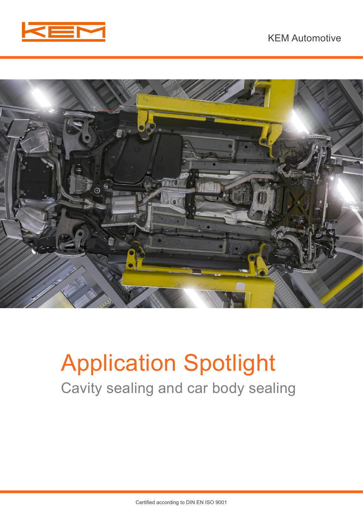



# Application Spotlight Cavity sealing and car body sealing